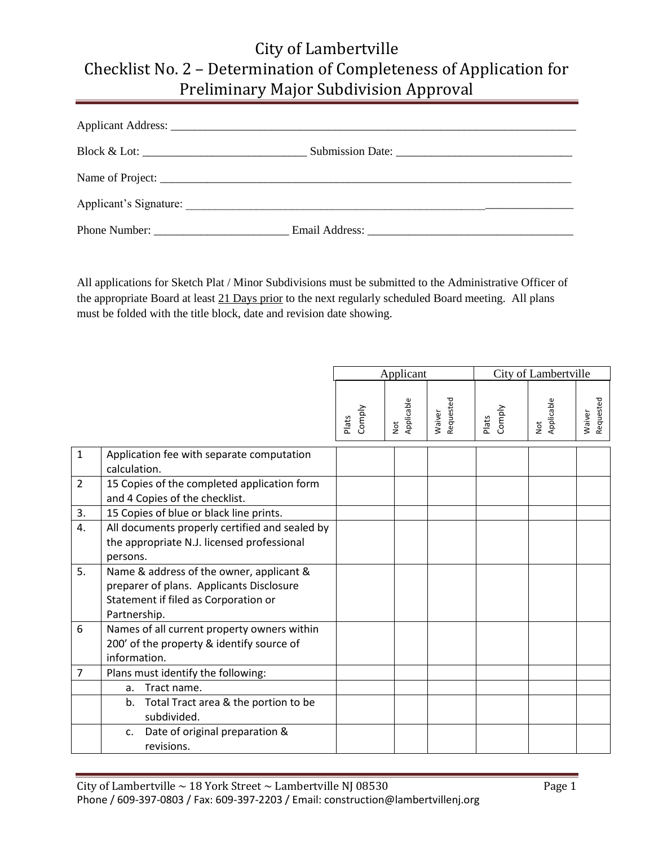| Phone Number: |  |
|---------------|--|

All applications for Sketch Plat / Minor Subdivisions must be submitted to the Administrative Officer of the appropriate Board at least 21 Days prior to the next regularly scheduled Board meeting. All plans must be folded with the title block, date and revision date showing.

|                |                                                                                                                                              | Applicant       |                             |                     | City of Lambertville |                                       |                     |  |
|----------------|----------------------------------------------------------------------------------------------------------------------------------------------|-----------------|-----------------------------|---------------------|----------------------|---------------------------------------|---------------------|--|
|                |                                                                                                                                              | Comply<br>Plats | Applicable<br>$\frac{1}{2}$ | Requested<br>Waiver | Comply<br>Plats      | Applicable<br>$\overline{\mathsf{R}}$ | Requested<br>Waiver |  |
| $\mathbf{1}$   | Application fee with separate computation<br>calculation.                                                                                    |                 |                             |                     |                      |                                       |                     |  |
| $\overline{2}$ | 15 Copies of the completed application form<br>and 4 Copies of the checklist.                                                                |                 |                             |                     |                      |                                       |                     |  |
| 3.             | 15 Copies of blue or black line prints.                                                                                                      |                 |                             |                     |                      |                                       |                     |  |
| 4.             | All documents properly certified and sealed by<br>the appropriate N.J. licensed professional<br>persons.                                     |                 |                             |                     |                      |                                       |                     |  |
| 5.             | Name & address of the owner, applicant &<br>preparer of plans. Applicants Disclosure<br>Statement if filed as Corporation or<br>Partnership. |                 |                             |                     |                      |                                       |                     |  |
| 6              | Names of all current property owners within<br>200' of the property & identify source of<br>information.                                     |                 |                             |                     |                      |                                       |                     |  |
| 7              | Plans must identify the following:                                                                                                           |                 |                             |                     |                      |                                       |                     |  |
|                | Tract name.<br>a.                                                                                                                            |                 |                             |                     |                      |                                       |                     |  |
|                | Total Tract area & the portion to be<br>b.<br>subdivided.                                                                                    |                 |                             |                     |                      |                                       |                     |  |
|                | Date of original preparation &<br>c.<br>revisions.                                                                                           |                 |                             |                     |                      |                                       |                     |  |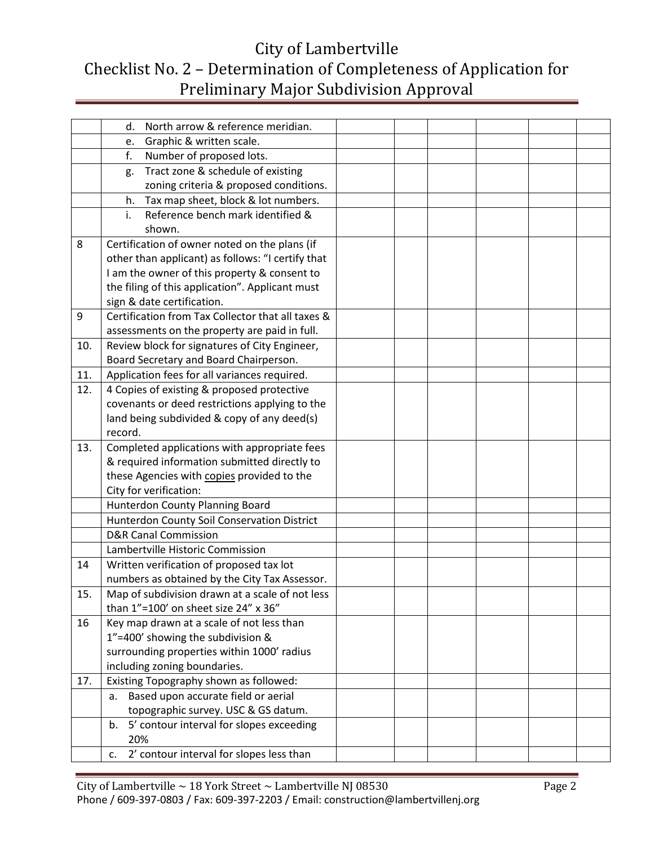|     | North arrow & reference meridian.<br>d.           |  |  |
|-----|---------------------------------------------------|--|--|
|     | Graphic & written scale.<br>e.                    |  |  |
|     | Number of proposed lots.<br>f.                    |  |  |
|     | Tract zone & schedule of existing<br>g.           |  |  |
|     | zoning criteria & proposed conditions.            |  |  |
|     | Tax map sheet, block & lot numbers.<br>h.         |  |  |
|     | Reference bench mark identified &<br>i.           |  |  |
|     | shown.                                            |  |  |
| 8   | Certification of owner noted on the plans (if     |  |  |
|     | other than applicant) as follows: "I certify that |  |  |
|     | I am the owner of this property & consent to      |  |  |
|     | the filing of this application". Applicant must   |  |  |
|     | sign & date certification.                        |  |  |
| 9   | Certification from Tax Collector that all taxes & |  |  |
|     | assessments on the property are paid in full.     |  |  |
| 10. | Review block for signatures of City Engineer,     |  |  |
|     | Board Secretary and Board Chairperson.            |  |  |
| 11. | Application fees for all variances required.      |  |  |
| 12. | 4 Copies of existing & proposed protective        |  |  |
|     | covenants or deed restrictions applying to the    |  |  |
|     | land being subdivided & copy of any deed(s)       |  |  |
|     | record.                                           |  |  |
| 13. | Completed applications with appropriate fees      |  |  |
|     | & required information submitted directly to      |  |  |
|     | these Agencies with copies provided to the        |  |  |
|     | City for verification:                            |  |  |
|     | Hunterdon County Planning Board                   |  |  |
|     | Hunterdon County Soil Conservation District       |  |  |
|     | <b>D&amp;R Canal Commission</b>                   |  |  |
|     | Lambertville Historic Commission                  |  |  |
| 14  | Written verification of proposed tax lot          |  |  |
|     | numbers as obtained by the City Tax Assessor.     |  |  |
| 15. | Map of subdivision drawn at a scale of not less   |  |  |
|     | than 1"=100' on sheet size 24" x 36"              |  |  |
| 16  | Key map drawn at a scale of not less than         |  |  |
|     | 1"=400' showing the subdivision &                 |  |  |
|     | surrounding properties within 1000' radius        |  |  |
|     | including zoning boundaries.                      |  |  |
| 17. | Existing Topography shown as followed:            |  |  |
|     | Based upon accurate field or aerial<br>а.         |  |  |
|     | topographic survey. USC & GS datum.               |  |  |
|     | 5' contour interval for slopes exceeding<br>b.    |  |  |
|     | 20%                                               |  |  |
|     | 2' contour interval for slopes less than<br>c.    |  |  |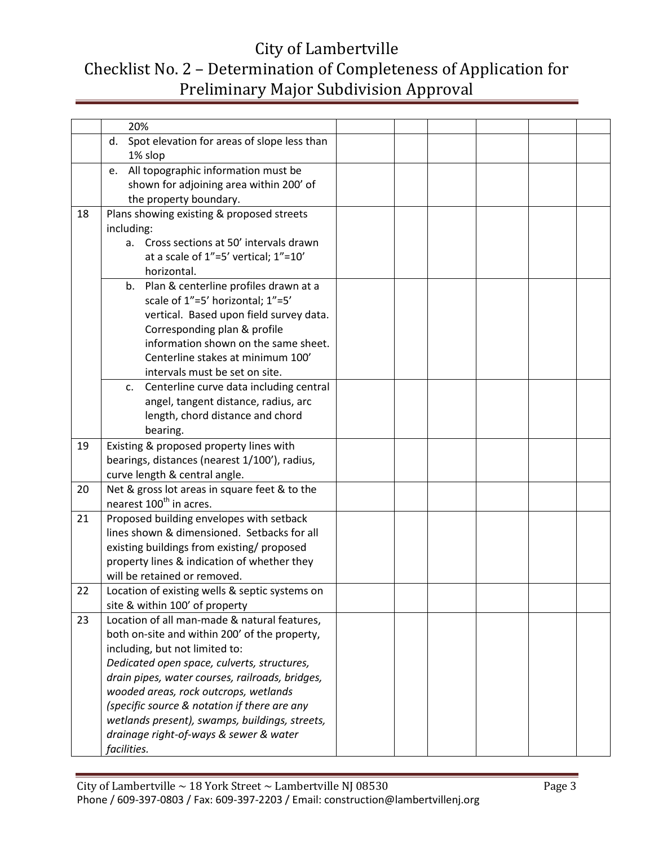|    | 20%                                               |  |  |  |
|----|---------------------------------------------------|--|--|--|
|    | Spot elevation for areas of slope less than<br>d. |  |  |  |
|    | 1% slop                                           |  |  |  |
|    | All topographic information must be<br>e.         |  |  |  |
|    | shown for adjoining area within 200' of           |  |  |  |
|    | the property boundary.                            |  |  |  |
| 18 | Plans showing existing & proposed streets         |  |  |  |
|    | including:                                        |  |  |  |
|    | Cross sections at 50' intervals drawn<br>а.       |  |  |  |
|    | at a scale of 1"=5' vertical; 1"=10'              |  |  |  |
|    | horizontal.                                       |  |  |  |
|    | Plan & centerline profiles drawn at a<br>b.       |  |  |  |
|    | scale of 1"=5' horizontal; 1"=5'                  |  |  |  |
|    | vertical. Based upon field survey data.           |  |  |  |
|    | Corresponding plan & profile                      |  |  |  |
|    | information shown on the same sheet.              |  |  |  |
|    | Centerline stakes at minimum 100'                 |  |  |  |
|    | intervals must be set on site.                    |  |  |  |
|    | Centerline curve data including central<br>c.     |  |  |  |
|    | angel, tangent distance, radius, arc              |  |  |  |
|    | length, chord distance and chord                  |  |  |  |
|    | bearing.                                          |  |  |  |
| 19 | Existing & proposed property lines with           |  |  |  |
|    | bearings, distances (nearest 1/100'), radius,     |  |  |  |
|    | curve length & central angle.                     |  |  |  |
| 20 | Net & gross lot areas in square feet & to the     |  |  |  |
|    | nearest 100 <sup>th</sup> in acres.               |  |  |  |
| 21 | Proposed building envelopes with setback          |  |  |  |
|    | lines shown & dimensioned. Setbacks for all       |  |  |  |
|    | existing buildings from existing/ proposed        |  |  |  |
|    | property lines & indication of whether they       |  |  |  |
|    | will be retained or removed.                      |  |  |  |
| 22 | Location of existing wells & septic systems on    |  |  |  |
|    | site & within 100' of property                    |  |  |  |
| 23 | Location of all man-made & natural features,      |  |  |  |
|    | both on-site and within 200' of the property,     |  |  |  |
|    | including, but not limited to:                    |  |  |  |
|    | Dedicated open space, culverts, structures,       |  |  |  |
|    | drain pipes, water courses, railroads, bridges,   |  |  |  |
|    | wooded areas, rock outcrops, wetlands             |  |  |  |
|    | (specific source & notation if there are any      |  |  |  |
|    | wetlands present), swamps, buildings, streets,    |  |  |  |
|    | drainage right-of-ways & sewer & water            |  |  |  |
|    | facilities.                                       |  |  |  |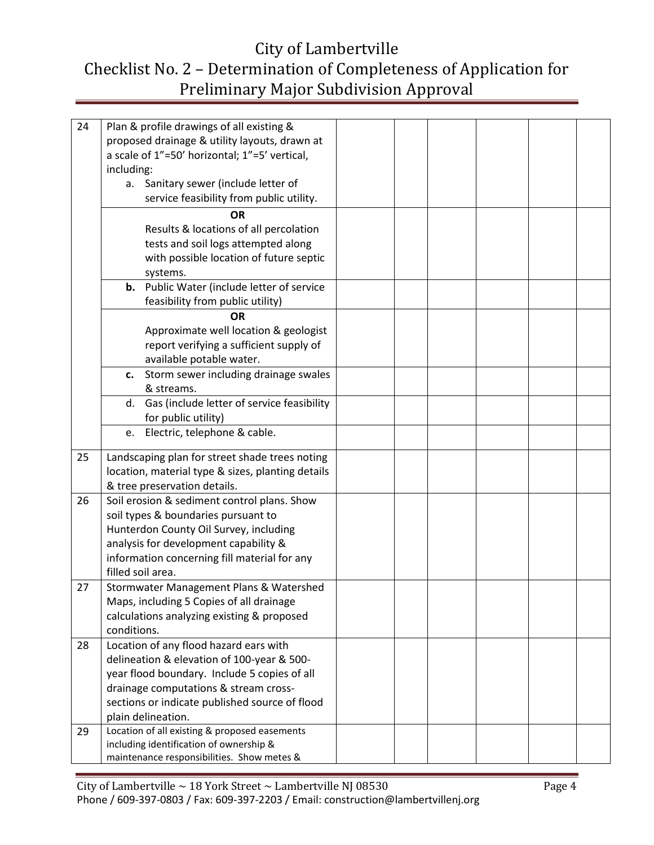| 24 | Plan & profile drawings of all existing &         |  |  |  |
|----|---------------------------------------------------|--|--|--|
|    | proposed drainage & utility layouts, drawn at     |  |  |  |
|    | a scale of 1"=50' horizontal; 1"=5' vertical,     |  |  |  |
|    | including:                                        |  |  |  |
|    | a. Sanitary sewer (include letter of              |  |  |  |
|    | service feasibility from public utility.          |  |  |  |
|    | <b>OR</b>                                         |  |  |  |
|    | Results & locations of all percolation            |  |  |  |
|    | tests and soil logs attempted along               |  |  |  |
|    | with possible location of future septic           |  |  |  |
|    | systems.                                          |  |  |  |
|    | <b>b.</b> Public Water (include letter of service |  |  |  |
|    | feasibility from public utility)                  |  |  |  |
|    | <b>OR</b>                                         |  |  |  |
|    | Approximate well location & geologist             |  |  |  |
|    | report verifying a sufficient supply of           |  |  |  |
|    | available potable water.                          |  |  |  |
|    | Storm sewer including drainage swales<br>c.       |  |  |  |
|    | & streams.                                        |  |  |  |
|    | d. Gas (include letter of service feasibility     |  |  |  |
|    | for public utility)                               |  |  |  |
|    | Electric, telephone & cable.<br>e.                |  |  |  |
| 25 | Landscaping plan for street shade trees noting    |  |  |  |
|    | location, material type & sizes, planting details |  |  |  |
|    | & tree preservation details.                      |  |  |  |
| 26 | Soil erosion & sediment control plans. Show       |  |  |  |
|    | soil types & boundaries pursuant to               |  |  |  |
|    | Hunterdon County Oil Survey, including            |  |  |  |
|    | analysis for development capability &             |  |  |  |
|    | information concerning fill material for any      |  |  |  |
|    | filled soil area.                                 |  |  |  |
| 27 | Stormwater Management Plans & Watershed           |  |  |  |
|    | Maps, including 5 Copies of all drainage          |  |  |  |
|    | calculations analyzing existing & proposed        |  |  |  |
|    | conditions.                                       |  |  |  |
| 28 | Location of any flood hazard ears with            |  |  |  |
|    | delineation & elevation of 100-year & 500-        |  |  |  |
|    | year flood boundary. Include 5 copies of all      |  |  |  |
|    | drainage computations & stream cross-             |  |  |  |
|    | sections or indicate published source of flood    |  |  |  |
|    | plain delineation.                                |  |  |  |
| 29 | Location of all existing & proposed easements     |  |  |  |
|    | including identification of ownership &           |  |  |  |
|    | maintenance responsibilities. Show metes &        |  |  |  |